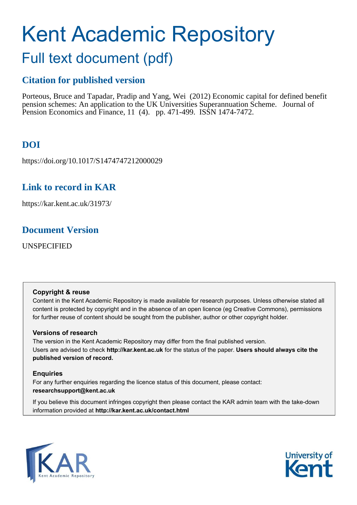# Kent Academic Repository

## Full text document (pdf)

## **Citation for published version**

Porteous, Bruce and Tapadar, Pradip and Yang, Wei (2012) Economic capital for defined benefit pension schemes: An application to the UK Universities Superannuation Scheme. Journal of Pension Economics and Finance, 11 (4). pp. 471-499. ISSN 1474-7472.

## **DOI**

https://doi.org/10.1017/S1474747212000029

## **Link to record in KAR**

https://kar.kent.ac.uk/31973/

## **Document Version**

UNSPECIFIED

#### **Copyright & reuse**

Content in the Kent Academic Repository is made available for research purposes. Unless otherwise stated all content is protected by copyright and in the absence of an open licence (eg Creative Commons), permissions for further reuse of content should be sought from the publisher, author or other copyright holder.

#### **Versions of research**

The version in the Kent Academic Repository may differ from the final published version. Users are advised to check **http://kar.kent.ac.uk** for the status of the paper. **Users should always cite the published version of record.**

#### **Enquiries**

For any further enquiries regarding the licence status of this document, please contact: **researchsupport@kent.ac.uk**

If you believe this document infringes copyright then please contact the KAR admin team with the take-down information provided at **http://kar.kent.ac.uk/contact.html**



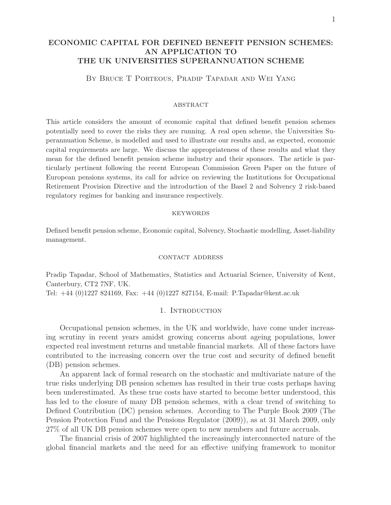#### ECONOMIC CAPITAL FOR DEFINED BENEFIT PENSION SCHEMES: AN APPLICATION TO THE UK UNIVERSITIES SUPERANNUATION SCHEME

By Bruce T Porteous, Pradip Tapadar and Wei Yang

#### **ABSTRACT**

This article considers the amount of economic capital that defined benefit pension schemes potentially need to cover the risks they are running. A real open scheme, the Universities Superannuation Scheme, is modelled and used to illustrate our results and, as expected, economic capital requirements are large. We discuss the appropriateness of these results and what they mean for the defined benefit pension scheme industry and their sponsors. The article is particularly pertinent following the recent European Commission Green Paper on the future of European pensions systems, its call for advice on reviewing the Institutions for Occupational Retirement Provision Directive and the introduction of the Basel 2 and Solvency 2 risk-based regulatory regimes for banking and insurance respectively.

#### **KEYWORDS**

Defined benefit pension scheme, Economic capital, Solvency, Stochastic modelling, Asset-liability management.

#### contact address

Pradip Tapadar, School of Mathematics, Statistics and Actuarial Science, University of Kent, Canterbury, CT2 7NF, UK.

Tel: +44 (0)1227 824169, Fax: +44 (0)1227 827154, E-mail: P.Tapadar@kent.ac.uk

#### 1. INTRODUCTION

Occupational pension schemes, in the UK and worldwide, have come under increasing scrutiny in recent years amidst growing concerns about ageing populations, lower expected real investment returns and unstable financial markets. All of these factors have contributed to the increasing concern over the true cost and security of defined benefit (DB) pension schemes.

An apparent lack of formal research on the stochastic and multivariate nature of the true risks underlying DB pension schemes has resulted in their true costs perhaps having been underestimated. As these true costs have started to become better understood, this has led to the closure of many DB pension schemes, with a clear trend of switching to Defined Contribution (DC) pension schemes. According to The Purple Book 2009 (The Pension Protection Fund and the Pensions Regulator (2009)), as at 31 March 2009, only 27% of all UK DB pension schemes were open to new members and future accruals.

The financial crisis of 2007 highlighted the increasingly interconnected nature of the global financial markets and the need for an effective unifying framework to monitor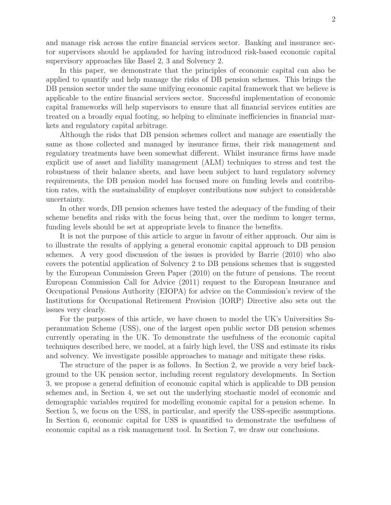and manage risk across the entire financial services sector. Banking and insurance sector supervisors should be applauded for having introduced risk-based economic capital supervisory approaches like Basel 2, 3 and Solvency 2.

In this paper, we demonstrate that the principles of economic capital can also be applied to quantify and help manage the risks of DB pension schemes. This brings the DB pension sector under the same unifying economic capital framework that we believe is applicable to the entire financial services sector. Successful implementation of economic capital frameworks will help supervisors to ensure that all financial services entities are treated on a broadly equal footing, so helping to eliminate inefficiencies in financial markets and regulatory capital arbitrage.

Although the risks that DB pension schemes collect and manage are essentially the same as those collected and managed by insurance firms, their risk management and regulatory treatments have been somewhat different. Whilst insurance firms have made explicit use of asset and liability management (ALM) techniques to stress and test the robustness of their balance sheets, and have been subject to hard regulatory solvency requirements, the DB pension model has focused more on funding levels and contribution rates, with the sustainability of employer contributions now subject to considerable uncertainty.

In other words, DB pension schemes have tested the adequacy of the funding of their scheme benefits and risks with the focus being that, over the medium to longer terms, funding levels should be set at appropriate levels to finance the benefits.

It is not the purpose of this article to argue in favour of either approach. Our aim is to illustrate the results of applying a general economic capital approach to DB pension schemes. A very good discussion of the issues is provided by Barrie (2010) who also covers the potential application of Solvency 2 to DB pensions schemes that is suggested by the European Commission Green Paper (2010) on the future of pensions. The recent European Commission Call for Advice (2011) request to the European Insurance and Occupational Pensions Authority (EIOPA) for advice on the Commission's review of the Institutions for Occupational Retirement Provision (IORP) Directive also sets out the issues very clearly.

For the purposes of this article, we have chosen to model the UK's Universities Superannuation Scheme (USS), one of the largest open public sector DB pension schemes currently operating in the UK. To demonstrate the usefulness of the economic capital techniques described here, we model, at a fairly high level, the USS and estimate its risks and solvency. We investigate possible approaches to manage and mitigate these risks.

The structure of the paper is as follows. In Section 2, we provide a very brief background to the UK pension sector, including recent regulatory developments. In Section 3, we propose a general definition of economic capital which is applicable to DB pension schemes and, in Section 4, we set out the underlying stochastic model of economic and demographic variables required for modelling economic capital for a pension scheme. In Section 5, we focus on the USS, in particular, and specify the USS-specific assumptions. In Section 6, economic capital for USS is quantified to demonstrate the usefulness of economic capital as a risk management tool. In Section 7, we draw our conclusions.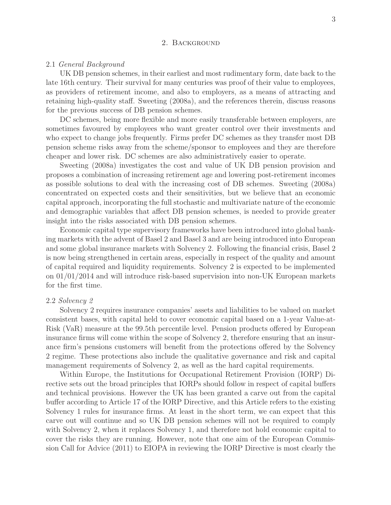#### 2. Background

#### 2.1 General Background

UK DB pension schemes, in their earliest and most rudimentary form, date back to the late 16th century. Their survival for many centuries was proof of their value to employees, as providers of retirement income, and also to employers, as a means of attracting and retaining high-quality staff. Sweeting (2008a), and the references therein, discuss reasons for the previous success of DB pension schemes.

DC schemes, being more flexible and more easily transferable between employers, are sometimes favoured by employees who want greater control over their investments and who expect to change jobs frequently. Firms prefer DC schemes as they transfer most DB pension scheme risks away from the scheme/sponsor to employees and they are therefore cheaper and lower risk. DC schemes are also administratively easier to operate.

Sweeting (2008a) investigates the cost and value of UK DB pension provision and proposes a combination of increasing retirement age and lowering post-retirement incomes as possible solutions to deal with the increasing cost of DB schemes. Sweeting (2008a) concentrated on expected costs and their sensitivities, but we believe that an economic capital approach, incorporating the full stochastic and multivariate nature of the economic and demographic variables that affect DB pension schemes, is needed to provide greater insight into the risks associated with DB pension schemes.

Economic capital type supervisory frameworks have been introduced into global banking markets with the advent of Basel 2 and Basel 3 and are being introduced into European and some global insurance markets with Solvency 2. Following the financial crisis, Basel 2 is now being strengthened in certain areas, especially in respect of the quality and amount of capital required and liquidity requirements. Solvency 2 is expected to be implemented on 01/01/2014 and will introduce risk-based supervision into non-UK European markets for the first time.

#### 2.2 Solvency 2

Solvency 2 requires insurance companies' assets and liabilities to be valued on market consistent bases, with capital held to cover economic capital based on a 1-year Value-at-Risk (VaR) measure at the 99.5th percentile level. Pension products offered by European insurance firms will come within the scope of Solvency 2, therefore ensuring that an insurance firm's pensions customers will benefit from the protections offered by the Solvency 2 regime. These protections also include the qualitative governance and risk and capital management requirements of Solvency 2, as well as the hard capital requirements.

Within Europe, the Institutions for Occupational Retirement Provision (IORP) Directive sets out the broad principles that IORPs should follow in respect of capital buffers and technical provisions. However the UK has been granted a carve out from the capital buffer according to Article 17 of the IORP Directive, and this Article refers to the existing Solvency 1 rules for insurance firms. At least in the short term, we can expect that this carve out will continue and so UK DB pension schemes will not be required to comply with Solvency 2, when it replaces Solvency 1, and therefore not hold economic capital to cover the risks they are running. However, note that one aim of the European Commission Call for Advice (2011) to EIOPA in reviewing the IORP Directive is most clearly the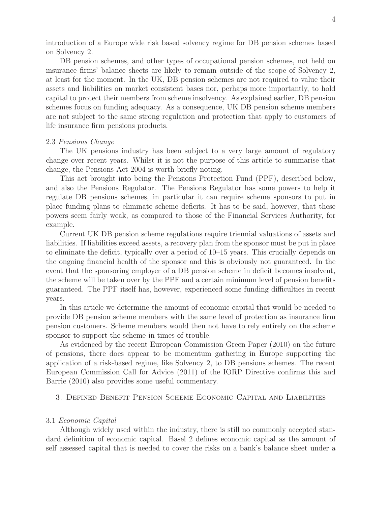introduction of a Europe wide risk based solvency regime for DB pension schemes based on Solvency 2.

DB pension schemes, and other types of occupational pension schemes, not held on insurance firms' balance sheets are likely to remain outside of the scope of Solvency 2, at least for the moment. In the UK, DB pension schemes are not required to value their assets and liabilities on market consistent bases nor, perhaps more importantly, to hold capital to protect their members from scheme insolvency. As explained earlier, DB pension schemes focus on funding adequacy. As a consequence, UK DB pension scheme members are not subject to the same strong regulation and protection that apply to customers of life insurance firm pensions products.

#### 2.3 Pensions Change

The UK pensions industry has been subject to a very large amount of regulatory change over recent years. Whilst it is not the purpose of this article to summarise that change, the Pensions Act 2004 is worth briefly noting.

This act brought into being the Pensions Protection Fund (PPF), described below, and also the Pensions Regulator. The Pensions Regulator has some powers to help it regulate DB pensions schemes, in particular it can require scheme sponsors to put in place funding plans to eliminate scheme deficits. It has to be said, however, that these powers seem fairly weak, as compared to those of the Financial Services Authority, for example.

Current UK DB pension scheme regulations require triennial valuations of assets and liabilities. If liabilities exceed assets, a recovery plan from the sponsor must be put in place to eliminate the deficit, typically over a period of 10–15 years. This crucially depends on the ongoing financial health of the sponsor and this is obviously not guaranteed. In the event that the sponsoring employer of a DB pension scheme in deficit becomes insolvent, the scheme will be taken over by the PPF and a certain minimum level of pension benefits guaranteed. The PPF itself has, however, experienced some funding difficulties in recent years.

In this article we determine the amount of economic capital that would be needed to provide DB pension scheme members with the same level of protection as insurance firm pension customers. Scheme members would then not have to rely entirely on the scheme sponsor to support the scheme in times of trouble.

As evidenced by the recent European Commission Green Paper (2010) on the future of pensions, there does appear to be momentum gathering in Europe supporting the application of a risk-based regime, like Solvency 2, to DB pensions schemes. The recent European Commission Call for Advice (2011) of the IORP Directive confirms this and Barrie (2010) also provides some useful commentary.

#### 3. Defined Benefit Pension Scheme Economic Capital and Liabilities

#### 3.1 Economic Capital

Although widely used within the industry, there is still no commonly accepted standard definition of economic capital. Basel 2 defines economic capital as the amount of self assessed capital that is needed to cover the risks on a bank's balance sheet under a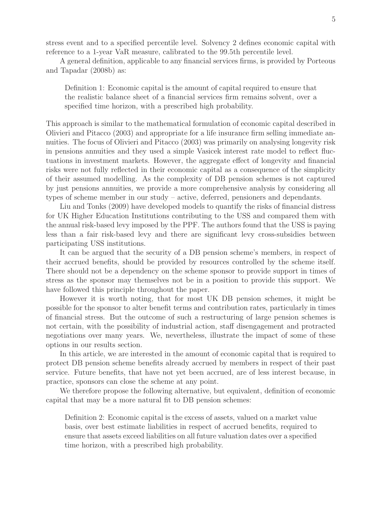stress event and to a specified percentile level. Solvency 2 defines economic capital with reference to a 1-year VaR measure, calibrated to the 99.5th percentile level.

A general definition, applicable to any financial services firms, is provided by Porteous and Tapadar (2008b) as:

Definition 1: Economic capital is the amount of capital required to ensure that the realistic balance sheet of a financial services firm remains solvent, over a specified time horizon, with a prescribed high probability.

This approach is similar to the mathematical formulation of economic capital described in Olivieri and Pitacco (2003) and appropriate for a life insurance firm selling immediate annuities. The focus of Olivieri and Pitacco (2003) was primarily on analysing longevity risk in pensions annuities and they used a simple Vasicek interest rate model to reflect fluctuations in investment markets. However, the aggregate effect of longevity and financial risks were not fully reflected in their economic capital as a consequence of the simplicity of their assumed modelling. As the complexity of DB pension schemes is not captured by just pensions annuities, we provide a more comprehensive analysis by considering all types of scheme member in our study – active, deferred, pensioners and dependants.

Liu and Tonks (2009) have developed models to quantify the risks of financial distress for UK Higher Education Institutions contributing to the USS and compared them with the annual risk-based levy imposed by the PPF. The authors found that the USS is paying less than a fair risk-based levy and there are significant levy cross-subsidies between participating USS institutions.

It can be argued that the security of a DB pension scheme's members, in respect of their accrued benefits, should be provided by resources controlled by the scheme itself. There should not be a dependency on the scheme sponsor to provide support in times of stress as the sponsor may themselves not be in a position to provide this support. We have followed this principle throughout the paper.

However it is worth noting, that for most UK DB pension schemes, it might be possible for the sponsor to alter benefit terms and contribution rates, particularly in times of financial stress. But the outcome of such a restructuring of large pension schemes is not certain, with the possibility of industrial action, staff disengagement and protracted negotiations over many years. We, nevertheless, illustrate the impact of some of these options in our results section.

In this article, we are interested in the amount of economic capital that is required to protect DB pension scheme benefits already accrued by members in respect of their past service. Future benefits, that have not yet been accrued, are of less interest because, in practice, sponsors can close the scheme at any point.

We therefore propose the following alternative, but equivalent, definition of economic capital that may be a more natural fit to DB pension schemes:

Definition 2: Economic capital is the excess of assets, valued on a market value basis, over best estimate liabilities in respect of accrued benefits, required to ensure that assets exceed liabilities on all future valuation dates over a specified time horizon, with a prescribed high probability.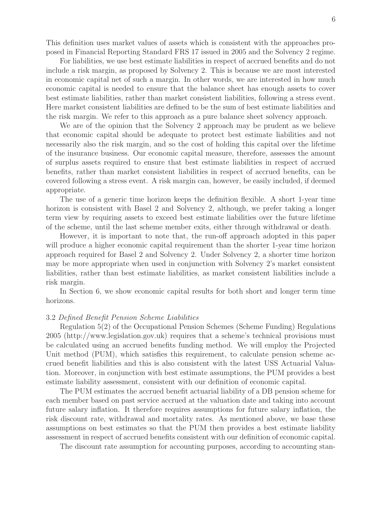This definition uses market values of assets which is consistent with the approaches proposed in Financial Reporting Standard FRS 17 issued in 2005 and the Solvency 2 regime.

For liabilities, we use best estimate liabilities in respect of accrued benefits and do not include a risk margin, as proposed by Solvency 2. This is because we are most interested in economic capital net of such a margin. In other words, we are interested in how much economic capital is needed to ensure that the balance sheet has enough assets to cover best estimate liabilities, rather than market consistent liabilities, following a stress event. Here market consistent liabilities are defined to be the sum of best estimate liabilities and the risk margin. We refer to this approach as a pure balance sheet solvency approach.

We are of the opinion that the Solvency 2 approach may be prudent as we believe that economic capital should be adequate to protect best estimate liabilities and not necessarily also the risk margin, and so the cost of holding this capital over the lifetime of the insurance business. Our economic capital measure, therefore, assesses the amount of surplus assets required to ensure that best estimate liabilities in respect of accrued benefits, rather than market consistent liabilities in respect of accrued benefits, can be covered following a stress event. A risk margin can, however, be easily included, if deemed appropriate.

The use of a generic time horizon keeps the definition flexible. A short 1-year time horizon is consistent with Basel 2 and Solvency 2, although, we prefer taking a longer term view by requiring assets to exceed best estimate liabilities over the future lifetime of the scheme, until the last scheme member exits, either through withdrawal or death.

However, it is important to note that, the run-off approach adopted in this paper will produce a higher economic capital requirement than the shorter 1-year time horizon approach required for Basel 2 and Solvency 2. Under Solvency 2, a shorter time horizon may be more appropriate when used in conjunction with Solvency 2's market consistent liabilities, rather than best estimate liabilities, as market consistent liabilities include a risk margin.

In Section 6, we show economic capital results for both short and longer term time horizons.

#### 3.2 Defined Benefit Pension Scheme Liabilities

Regulation 5(2) of the Occupational Pension Schemes (Scheme Funding) Regulations 2005 (http://www.legislation.gov.uk) requires that a scheme's technical provisions must be calculated using an accrued benefits funding method. We will employ the Projected Unit method (PUM), which satisfies this requirement, to calculate pension scheme accrued benefit liabilities and this is also consistent with the latest USS Actuarial Valuation. Moreover, in conjunction with best estimate assumptions, the PUM provides a best estimate liability assessment, consistent with our definition of economic capital.

The PUM estimates the accrued benefit actuarial liability of a DB pension scheme for each member based on past service accrued at the valuation date and taking into account future salary inflation. It therefore requires assumptions for future salary inflation, the risk discount rate, withdrawal and mortality rates. As mentioned above, we base these assumptions on best estimates so that the PUM then provides a best estimate liability assessment in respect of accrued benefits consistent with our definition of economic capital.

The discount rate assumption for accounting purposes, according to accounting stan-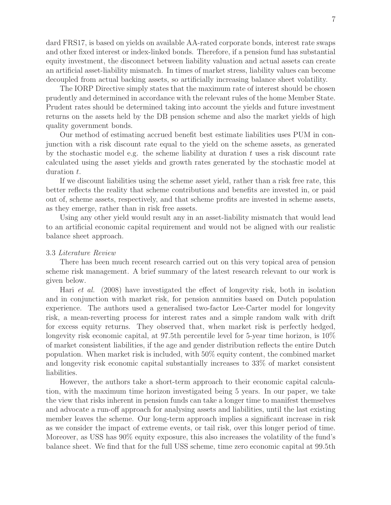dard FRS17, is based on yields on available AA-rated corporate bonds, interest rate swaps and other fixed interest or index-linked bonds. Therefore, if a pension fund has substantial equity investment, the disconnect between liability valuation and actual assets can create an artificial asset-liability mismatch. In times of market stress, liability values can become decoupled from actual backing assets, so artificially increasing balance sheet volatility.

The IORP Directive simply states that the maximum rate of interest should be chosen prudently and determined in accordance with the relevant rules of the home Member State. Prudent rates should be determined taking into account the yields and future investment returns on the assets held by the DB pension scheme and also the market yields of high quality government bonds.

Our method of estimating accrued benefit best estimate liabilities uses PUM in conjunction with a risk discount rate equal to the yield on the scheme assets, as generated by the stochastic model e.g. the scheme liability at duration  $t$  uses a risk discount rate calculated using the asset yields and growth rates generated by the stochastic model at duration  $t$ .

If we discount liabilities using the scheme asset yield, rather than a risk free rate, this better reflects the reality that scheme contributions and benefits are invested in, or paid out of, scheme assets, respectively, and that scheme profits are invested in scheme assets, as they emerge, rather than in risk free assets.

Using any other yield would result any in an asset-liability mismatch that would lead to an artificial economic capital requirement and would not be aligned with our realistic balance sheet approach.

#### 3.3 Literature Review

There has been much recent research carried out on this very topical area of pension scheme risk management. A brief summary of the latest research relevant to our work is given below.

Hari et al. (2008) have investigated the effect of longevity risk, both in isolation and in conjunction with market risk, for pension annuities based on Dutch population experience. The authors used a generalised two-factor Lee-Carter model for longevity risk, a mean-reverting process for interest rates and a simple random walk with drift for excess equity returns. They observed that, when market risk is perfectly hedged, longevity risk economic capital, at 97.5th percentile level for 5-year time horizon, is 10% of market consistent liabilities, if the age and gender distribution reflects the entire Dutch population. When market risk is included, with 50% equity content, the combined market and longevity risk economic capital substantially increases to 33% of market consistent liabilities.

However, the authors take a short-term approach to their economic capital calculation, with the maximum time horizon investigated being 5 years. In our paper, we take the view that risks inherent in pension funds can take a longer time to manifest themselves and advocate a run-off approach for analysing assets and liabilities, until the last existing member leaves the scheme. Our long-term approach implies a significant increase in risk as we consider the impact of extreme events, or tail risk, over this longer period of time. Moreover, as USS has 90% equity exposure, this also increases the volatility of the fund's balance sheet. We find that for the full USS scheme, time zero economic capital at 99.5th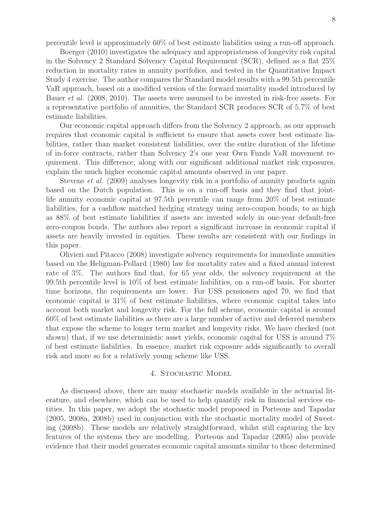percentile level is approximately 60% of best estimate liabilities using a run-off approach.

Boerger (2010) investigates the adequacy and appropriateness of longevity risk capital in the Solvency 2 Standard Solvency Capital Requirement (SCR), defined as a flat 25% reduction in mortality rates in annuity portfolios, and tested in the Quantitative Impact Study 4 exercise. The author compares the Standard model results with a 99.5th percentile VaR approach, based on a modified version of the forward mortality model introduced by Bauer et al. (2008, 2010). The assets were assumed to be invested in risk-free assets. For a representative portfolio of annuities, the Standard SCR produces SCR of 5.7% of best estimate liabilities.

Our economic capital approach differs from the Solvency 2 approach, as our approach requires that economic capital is sufficient to ensure that assets cover best estimate liabilities, rather than market consistent liabilities, over the entire duration of the lifetime of in-force contracts, rather than Solvency 2's one year Own Funds VaR movement requirement. This difference, along with our significant additional market risk exposures, explain the much higher economic capital amounts observed in our paper.

Stevens et al. (2009) analyses longevity risk in a portfolio of annuity products again based on the Dutch population. This is on a run-off basis and they find that jointlife annuity economic capital at 97.5th percentile can range from 20% of best estimate liabilities, for a cashflow matched hedging strategy using zero-coupon bonds, to as high as 88% of best estimate liabilities if assets are invested solely in one-year default-free zero-coupon bonds. The authors also report a significant increase in economic capital if assets are heavily invested in equities. These results are consistent with our findings in this paper.

Olivieri and Pitacco (2008) investigate solvency requirements for immediate annuities based on the Heligman-Pollard (1980) law for mortality rates and a fixed annual interest rate of 3%. The authors find that, for 65 year olds, the solvency requirement at the 99.5th percentile level is 10% of best estimate liabilities, on a run-off basis. For shorter time horizons, the requirements are lower. For USS pensioners aged 70, we find that economic capital is 31% of best estimate liabilities, where economic capital takes into account both market and longevity risk. For the full scheme, economic capital is around 60% of best estimate liabilities as there are a large number of active and deferred members that expose the scheme to longer term market and longevity risks. We have checked (not shown) that, if we use deterministic asset yields, economic capital for USS is around 7% of best estimate liabilities. In essence, market risk exposure adds significantly to overall risk and more so for a relatively young scheme like USS.

#### 4. Stochastic Model

As discussed above, there are many stochastic models available in the actuarial literature, and elsewhere, which can be used to help quantify risk in financial services entities. In this paper, we adopt the stochastic model proposed in Porteous and Tapadar (2005, 2008a, 2008b) used in conjunction with the stochastic mortality model of Sweeting (2008b). These models are relatively straightforward, whilst still capturing the key features of the systems they are modelling. Porteous and Tapadar (2005) also provide evidence that their model generates economic capital amounts similar to those determined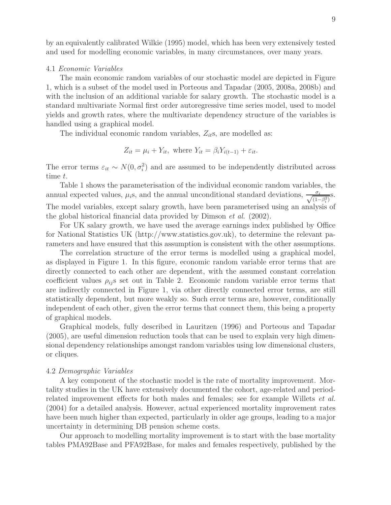by an equivalently calibrated Wilkie (1995) model, which has been very extensively tested and used for modelling economic variables, in many circumstances, over many years.

#### 4.1 Economic Variables

The main economic random variables of our stochastic model are depicted in Figure 1, which is a subset of the model used in Porteous and Tapadar (2005, 2008a, 2008b) and with the inclusion of an additional variable for salary growth. The stochastic model is a standard multivariate Normal first order autoregressive time series model, used to model yields and growth rates, where the multivariate dependency structure of the variables is handled using a graphical model.

The individual economic random variables,  $Z_{it}$ s, are modelled as:

$$
Z_{it} = \mu_i + Y_{it}, \text{ where } Y_{it} = \beta_i Y_{i(t-1)} + \varepsilon_{it}.
$$

The error terms  $\varepsilon_{it} \sim N(0, \sigma_i^2)$  and are assumed to be independently distributed across time t.

Table 1 shows the parameterisation of the individual economic random variables, the annual expected values,  $\mu_i$ s, and the annual unconditional standard deviations,  $\frac{\sigma_i}{\sqrt{(1-\beta_i^2)}}$ s. The model variables, except salary growth, have been parameterised using an analysis of the global historical financial data provided by Dimson et al. (2002).

For UK salary growth, we have used the average earnings index published by Office for National Statistics UK (http://www.statistics.gov.uk), to determine the relevant parameters and have ensured that this assumption is consistent with the other assumptions.

The correlation structure of the error terms is modelled using a graphical model, as displayed in Figure 1. In this figure, economic random variable error terms that are directly connected to each other are dependent, with the assumed constant correlation coefficient values  $\rho_{ij}$  set out in Table 2. Economic random variable error terms that are indirectly connected in Figure 1, via other directly connected error terms, are still statistically dependent, but more weakly so. Such error terms are, however, conditionally independent of each other, given the error terms that connect them, this being a property of graphical models.

Graphical models, fully described in Lauritzen (1996) and Porteous and Tapadar (2005), are useful dimension reduction tools that can be used to explain very high dimensional dependency relationships amongst random variables using low dimensional clusters, or cliques.

#### 4.2 Demographic Variables

A key component of the stochastic model is the rate of mortality improvement. Mortality studies in the UK have extensively documented the cohort, age-related and periodrelated improvement effects for both males and females; see for example Willets et al. (2004) for a detailed analysis. However, actual experienced mortality improvement rates have been much higher than expected, particularly in older age groups, leading to a major uncertainty in determining DB pension scheme costs.

Our approach to modelling mortality improvement is to start with the base mortality tables PMA92Base and PFA92Base, for males and females respectively, published by the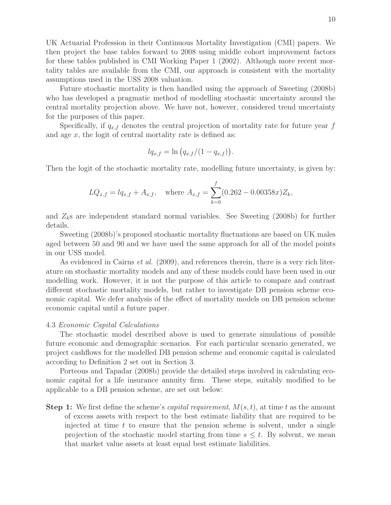UK Actuarial Profession in their Continuous Mortality Investigation (CMI) papers. We then project the base tables forward to 2008 using middle cohort improvement factors for these tables published in CMI Working Paper 1 (2002). Although more recent mortality tables are available from the CMI, our approach is consistent with the mortality assumptions used in the USS 2008 valuation.

Future stochastic mortality is then handled using the approach of Sweeting (2008b) who has developed a pragmatic method of modelling stochastic uncertainty around the central mortality projection above. We have not, however, considered trend uncertainty for the purposes of this paper.

Specifically, if  $q_{x,f}$  denotes the central projection of mortality rate for future year f and age  $x$ , the logit of central mortality rate is defined as:

$$
lq_{x,f} = \ln (q_{x,f}/(1-q_{x,f})).
$$

Then the logit of the stochastic mortality rate, modelling future uncertainty, is given by:

$$
LQ_{x,f} = lq_{x,f} + A_{x,f}, \text{ where } A_{x,f} = \sum_{k=0}^{f} (0.262 - 0.00358x) Z_k,
$$

and  $Z_k$ s are independent standard normal variables. See Sweeting (2008b) for further details.

Sweeting (2008b)'s proposed stochastic mortality fluctuations are based on UK males aged between 50 and 90 and we have used the same approach for all of the model points in our USS model.

As evidenced in Cairns *et al.* (2009), and references therein, there is a very rich literature on stochastic mortality models and any of these models could have been used in our modelling work. However, it is not the purpose of this article to compare and contrast different stochastic mortality models, but rather to investigate DB pension scheme economic capital. We defer analysis of the effect of mortality models on DB pension scheme economic capital until a future paper.

#### 4.3 Economic Capital Calculations

The stochastic model described above is used to generate simulations of possible future economic and demographic scenarios. For each particular scenario generated, we project cashflows for the modelled DB pension scheme and economic capital is calculated according to Definition 2 set out in Section 3.

Porteous and Tapadar (2008b) provide the detailed steps involved in calculating economic capital for a life insurance annuity firm. These steps, suitably modified to be applicable to a DB pension scheme, are set out below:

**Step 1:** We first define the scheme's *capital requirement*,  $M(s,t)$ , at time t as the amount of excess assets with respect to the best estimate liability that are required to be injected at time  $t$  to ensure that the pension scheme is solvent, under a single projection of the stochastic model starting from time  $s \leq t$ . By solvent, we mean that market value assets at least equal best estimate liabilities.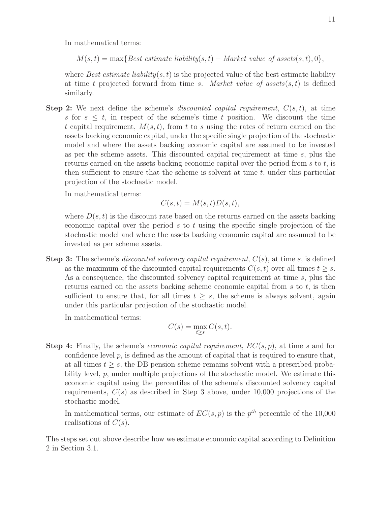In mathematical terms:

 $M(s,t) = \max\{Best \ estimate \ liability(s,t) - Market \ value \ of \ assets(s,t), 0\},$ 

where Best estimate liability(s, t) is the projected value of the best estimate liability at time t projected forward from time s. Market value of assets $(s, t)$  is defined similarly.

**Step 2:** We next define the scheme's *discounted capital requirement*,  $C(s, t)$ , at time s for  $s \leq t$ , in respect of the scheme's time t position. We discount the time t capital requirement,  $M(s, t)$ , from t to s using the rates of return earned on the assets backing economic capital, under the specific single projection of the stochastic model and where the assets backing economic capital are assumed to be invested as per the scheme assets. This discounted capital requirement at time s, plus the returns earned on the assets backing economic capital over the period from  $s$  to  $t$ , is then sufficient to ensure that the scheme is solvent at time  $t$ , under this particular projection of the stochastic model.

In mathematical terms:

$$
C(s,t) = M(s,t)D(s,t),
$$

where  $D(s, t)$  is the discount rate based on the returns earned on the assets backing economic capital over the period s to t using the specific single projection of the stochastic model and where the assets backing economic capital are assumed to be invested as per scheme assets.

**Step 3:** The scheme's *discounted solvency capital requirement,*  $C(s)$ , at time s, is defined as the maximum of the discounted capital requirements  $C(s, t)$  over all times  $t \geq s$ . As a consequence, the discounted solvency capital requirement at time s, plus the returns earned on the assets backing scheme economic capital from  $s$  to  $t$ , is then sufficient to ensure that, for all times  $t \geq s$ , the scheme is always solvent, again under this particular projection of the stochastic model.

In mathematical terms:

$$
C(s) = \max_{t \ge s} C(s, t).
$$

**Step 4:** Finally, the scheme's *economic capital requirement*,  $EC(s, p)$ , at time s and for confidence level  $p$ , is defined as the amount of capital that is required to ensure that, at all times  $t \geq s$ , the DB pension scheme remains solvent with a prescribed probability level,  $p$ , under multiple projections of the stochastic model. We estimate this economic capital using the percentiles of the scheme's discounted solvency capital requirements,  $C(s)$  as described in Step 3 above, under 10,000 projections of the stochastic model.

In mathematical terms, our estimate of  $EC(s, p)$  is the  $p^{th}$  percentile of the 10,000 realisations of  $C(s)$ .

The steps set out above describe how we estimate economic capital according to Definition 2 in Section 3.1.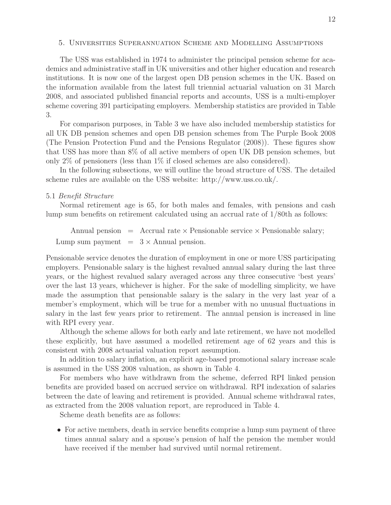#### 5. Universities Superannuation Scheme and Modelling Assumptions

The USS was established in 1974 to administer the principal pension scheme for academics and administrative staff in UK universities and other higher education and research institutions. It is now one of the largest open DB pension schemes in the UK. Based on the information available from the latest full triennial actuarial valuation on 31 March 2008, and associated published financial reports and accounts, USS is a multi-employer scheme covering 391 participating employers. Membership statistics are provided in Table 3.

For comparison purposes, in Table 3 we have also included membership statistics for all UK DB pension schemes and open DB pension schemes from The Purple Book 2008 (The Pension Protection Fund and the Pensions Regulator (2008)). These figures show that USS has more than 8% of all active members of open UK DB pension schemes, but only 2% of pensioners (less than 1% if closed schemes are also considered).

In the following subsections, we will outline the broad structure of USS. The detailed scheme rules are available on the USS website: http://www.uss.co.uk/.

#### 5.1 Benefit Structure

Normal retirement age is 65, for both males and females, with pensions and cash lump sum benefits on retirement calculated using an accrual rate of 1/80th as follows:

Annual pension  $=$  Accrual rate  $\times$  Pensionable service  $\times$  Pensionable salary; Lump sum payment  $= 3 \times$  Annual pension.

Pensionable service denotes the duration of employment in one or more USS participating employers. Pensionable salary is the highest revalued annual salary during the last three years, or the highest revalued salary averaged across any three consecutive 'best years' over the last 13 years, whichever is higher. For the sake of modelling simplicity, we have made the assumption that pensionable salary is the salary in the very last year of a member's employment, which will be true for a member with no unusual fluctuations in salary in the last few years prior to retirement. The annual pension is increased in line with RPI every year.

Although the scheme allows for both early and late retirement, we have not modelled these explicitly, but have assumed a modelled retirement age of 62 years and this is consistent with 2008 actuarial valuation report assumption.

In addition to salary inflation, an explicit age-based promotional salary increase scale is assumed in the USS 2008 valuation, as shown in Table 4.

For members who have withdrawn from the scheme, deferred RPI linked pension benefits are provided based on accrued service on withdrawal. RPI indexation of salaries between the date of leaving and retirement is provided. Annual scheme withdrawal rates, as extracted from the 2008 valuation report, are reproduced in Table 4.

Scheme death benefits are as follows:

• For active members, death in service benefits comprise a lump sum payment of three times annual salary and a spouse's pension of half the pension the member would have received if the member had survived until normal retirement.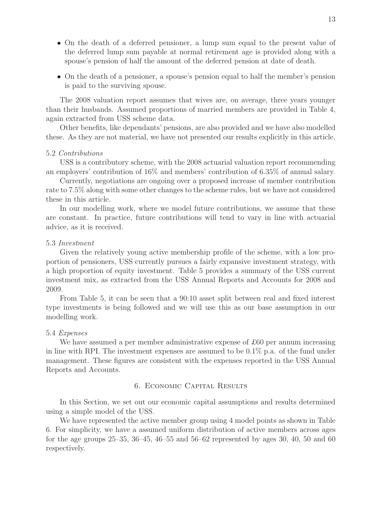- On the death of a deferred pensioner, a lump sum equal to the present value of the deferred lump sum payable at normal retirement age is provided along with a spouse's pension of half the amount of the deferred pension at date of death.
- On the death of a pensioner, a spouse's pension equal to half the member's pension is paid to the surviving spouse.

The 2008 valuation report assumes that wives are, on average, three years younger than their husbands. Assumed proportions of married members are provided in Table 4, again extracted from USS scheme data.

Other benefits, like dependants' pensions, are also provided and we have also modelled these. As they are not material, we have not presented our results explicitly in this article.

#### 5.2 Contributions

USS is a contributory scheme, with the 2008 actuarial valuation report recommending an employers' contribution of 16% and members' contribution of 6.35% of annual salary.

Currently, negotiations are ongoing over a proposed increase of member contribution rate to 7.5% along with some other changes to the scheme rules, but we have not considered these in this article.

In our modelling work, where we model future contributions, we assume that these are constant. In practice, future contributions will tend to vary in line with actuarial advice, as it is received.

#### 5.3 Investment

Given the relatively young active membership profile of the scheme, with a low proportion of pensioners, USS currently pursues a fairly expansive investment strategy, with a high proportion of equity investment. Table 5 provides a summary of the USS current investment mix, as extracted from the USS Annual Reports and Accounts for 2008 and 2009.

From Table 5, it can be seen that a 90:10 asset split between real and fixed interest type investments is being followed and we will use this as our base assumption in our modelling work.

#### 5.4 Expenses

We have assumed a per member administrative expense of £60 per annum increasing in line with RPI. The investment expenses are assumed to be 0.1% p.a. of the fund under management. These figures are consistent with the expenses reported in the USS Annual Reports and Accounts.

#### 6. Economic Capital Results

In this Section, we set out our economic capital assumptions and results determined using a simple model of the USS.

We have represented the active member group using 4 model points as shown in Table 6. For simplicity, we have a assumed uniform distribution of active members across ages for the age groups 25–35, 36–45, 46–55 and 56–62 represented by ages 30, 40, 50 and 60 respectively.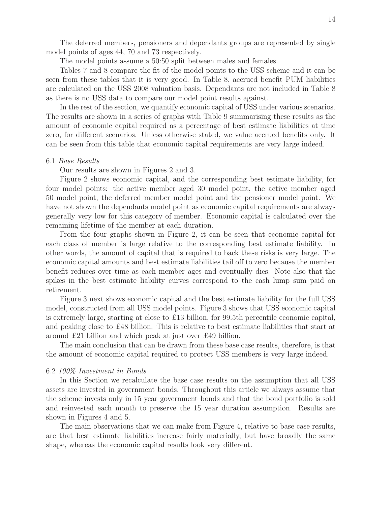The deferred members, pensioners and dependants groups are represented by single model points of ages 44, 70 and 73 respectively.

The model points assume a 50:50 split between males and females.

Tables 7 and 8 compare the fit of the model points to the USS scheme and it can be seen from these tables that it is very good. In Table 8, accrued benefit PUM liabilities are calculated on the USS 2008 valuation basis. Dependants are not included in Table 8 as there is no USS data to compare our model point results against.

In the rest of the section, we quantify economic capital of USS under various scenarios. The results are shown in a series of graphs with Table 9 summarising these results as the amount of economic capital required as a percentage of best estimate liabilities at time zero, for different scenarios. Unless otherwise stated, we value accrued benefits only. It can be seen from this table that economic capital requirements are very large indeed.

#### 6.1 Base Results

Our results are shown in Figures 2 and 3.

Figure 2 shows economic capital, and the corresponding best estimate liability, for four model points: the active member aged 30 model point, the active member aged 50 model point, the deferred member model point and the pensioner model point. We have not shown the dependants model point as economic capital requirements are always generally very low for this category of member. Economic capital is calculated over the remaining lifetime of the member at each duration.

From the four graphs shown in Figure 2, it can be seen that economic capital for each class of member is large relative to the corresponding best estimate liability. In other words, the amount of capital that is required to back these risks is very large. The economic capital amounts and best estimate liabilities tail off to zero because the member benefit reduces over time as each member ages and eventually dies. Note also that the spikes in the best estimate liability curves correspond to the cash lump sum paid on retirement.

Figure 3 next shows economic capital and the best estimate liability for the full USS model, constructed from all USS model points. Figure 3 shows that USS economic capital is extremely large, starting at close to £13 billion, for 99.5th percentile economic capital, and peaking close to £48 billion. This is relative to best estimate liabilities that start at around £21 billion and which peak at just over £49 billion.

The main conclusion that can be drawn from these base case results, therefore, is that the amount of economic capital required to protect USS members is very large indeed.

#### 6.2 100% Investment in Bonds

In this Section we recalculate the base case results on the assumption that all USS assets are invested in government bonds. Throughout this article we always assume that the scheme invests only in 15 year government bonds and that the bond portfolio is sold and reinvested each month to preserve the 15 year duration assumption. Results are shown in Figures 4 and 5.

The main observations that we can make from Figure 4, relative to base case results, are that best estimate liabilities increase fairly materially, but have broadly the same shape, whereas the economic capital results look very different.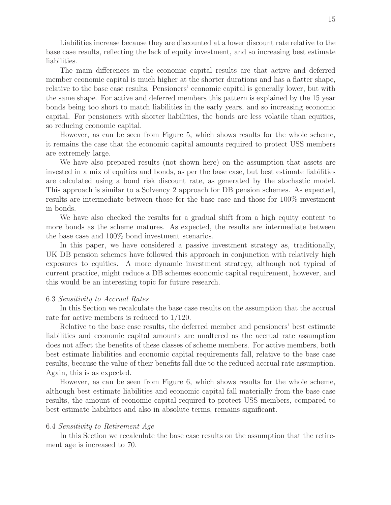Liabilities increase because they are discounted at a lower discount rate relative to the base case results, reflecting the lack of equity investment, and so increasing best estimate liabilities.

The main differences in the economic capital results are that active and deferred member economic capital is much higher at the shorter durations and has a flatter shape, relative to the base case results. Pensioners' economic capital is generally lower, but with the same shape. For active and deferred members this pattern is explained by the 15 year bonds being too short to match liabilities in the early years, and so increasing economic capital. For pensioners with shorter liabilities, the bonds are less volatile than equities, so reducing economic capital.

However, as can be seen from Figure 5, which shows results for the whole scheme, it remains the case that the economic capital amounts required to protect USS members are extremely large.

We have also prepared results (not shown here) on the assumption that assets are invested in a mix of equities and bonds, as per the base case, but best estimate liabilities are calculated using a bond risk discount rate, as generated by the stochastic model. This approach is similar to a Solvency 2 approach for DB pension schemes. As expected, results are intermediate between those for the base case and those for 100% investment in bonds.

We have also checked the results for a gradual shift from a high equity content to more bonds as the scheme matures. As expected, the results are intermediate between the base case and 100% bond investment scenarios.

In this paper, we have considered a passive investment strategy as, traditionally, UK DB pension schemes have followed this approach in conjunction with relatively high exposures to equities. A more dynamic investment strategy, although not typical of current practice, might reduce a DB schemes economic capital requirement, however, and this would be an interesting topic for future research.

#### 6.3 Sensitivity to Accrual Rates

In this Section we recalculate the base case results on the assumption that the accrual rate for active members is reduced to 1/120.

Relative to the base case results, the deferred member and pensioners' best estimate liabilities and economic capital amounts are unaltered as the accrual rate assumption does not affect the benefits of these classes of scheme members. For active members, both best estimate liabilities and economic capital requirements fall, relative to the base case results, because the value of their benefits fall due to the reduced accrual rate assumption. Again, this is as expected.

However, as can be seen from Figure 6, which shows results for the whole scheme, although best estimate liabilities and economic capital fall materially from the base case results, the amount of economic capital required to protect USS members, compared to best estimate liabilities and also in absolute terms, remains significant.

#### 6.4 Sensitivity to Retirement Age

In this Section we recalculate the base case results on the assumption that the retirement age is increased to 70.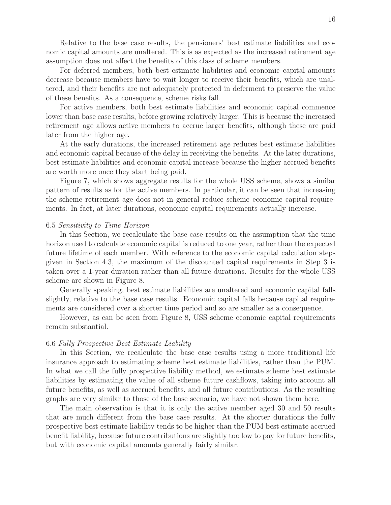Relative to the base case results, the pensioners' best estimate liabilities and economic capital amounts are unaltered. This is as expected as the increased retirement age assumption does not affect the benefits of this class of scheme members.

For deferred members, both best estimate liabilities and economic capital amounts decrease because members have to wait longer to receive their benefits, which are unaltered, and their benefits are not adequately protected in deferment to preserve the value of these benefits. As a consequence, scheme risks fall.

For active members, both best estimate liabilities and economic capital commence lower than base case results, before growing relatively larger. This is because the increased retirement age allows active members to accrue larger benefits, although these are paid later from the higher age.

At the early durations, the increased retirement age reduces best estimate liabilities and economic capital because of the delay in receiving the benefits. At the later durations, best estimate liabilities and economic capital increase because the higher accrued benefits are worth more once they start being paid.

Figure 7, which shows aggregate results for the whole USS scheme, shows a similar pattern of results as for the active members. In particular, it can be seen that increasing the scheme retirement age does not in general reduce scheme economic capital requirements. In fact, at later durations, economic capital requirements actually increase.

#### 6.5 Sensitivity to Time Horizon

In this Section, we recalculate the base case results on the assumption that the time horizon used to calculate economic capital is reduced to one year, rather than the expected future lifetime of each member. With reference to the economic capital calculation steps given in Section 4.3, the maximum of the discounted capital requirements in Step 3 is taken over a 1-year duration rather than all future durations. Results for the whole USS scheme are shown in Figure 8.

Generally speaking, best estimate liabilities are unaltered and economic capital falls slightly, relative to the base case results. Economic capital falls because capital requirements are considered over a shorter time period and so are smaller as a consequence.

However, as can be seen from Figure 8, USS scheme economic capital requirements remain substantial.

#### 6.6 Fully Prospective Best Estimate Liability

In this Section, we recalculate the base case results using a more traditional life insurance approach to estimating scheme best estimate liabilities, rather than the PUM. In what we call the fully prospective liability method, we estimate scheme best estimate liabilities by estimating the value of all scheme future cashflows, taking into account all future benefits, as well as accrued benefits, and all future contributions. As the resulting graphs are very similar to those of the base scenario, we have not shown them here.

The main observation is that it is only the active member aged 30 and 50 results that are much different from the base case results. At the shorter durations the fully prospective best estimate liability tends to be higher than the PUM best estimate accrued benefit liability, because future contributions are slightly too low to pay for future benefits, but with economic capital amounts generally fairly similar.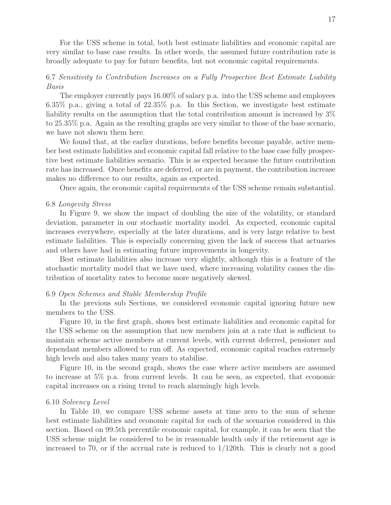For the USS scheme in total, both best estimate liabilities and economic capital are very similar to base case results. In other words, the assumed future contribution rate is broadly adequate to pay for future benefits, but not economic capital requirements.

#### 6.7 Sensitivity to Contribution Increases on a Fully Prospective Best Estimate Liability Basis

The employer currently pays 16.00% of salary p.a. into the USS scheme and employees 6.35% p.a., giving a total of 22.35% p.a. In this Section, we investigate best estimate liability results on the assumption that the total contribution amount is increased by 3% to 25.35% p.a. Again as the resulting graphs are very similar to those of the base scenario, we have not shown them here.

We found that, at the earlier durations, before benefits become payable, active member best estimate liabilities and economic capital fall relative to the base case fully prospective best estimate liabilities scenario. This is as expected because the future contribution rate has increased. Once benefits are deferred, or are in payment, the contribution increase makes no difference to our results, again as expected.

Once again, the economic capital requirements of the USS scheme remain substantial.

#### 6.8 Longevity Stress

In Figure 9, we show the impact of doubling the size of the volatility, or standard deviation, parameter in our stochastic mortality model. As expected, economic capital increases everywhere, especially at the later durations, and is very large relative to best estimate liabilities. This is especially concerning given the lack of success that actuaries and others have had in estimating future improvements in longevity.

Best estimate liabilities also increase very slightly, although this is a feature of the stochastic mortality model that we have used, where increasing volatility causes the distribution of mortality rates to become more negatively skewed.

#### 6.9 Open Schemes and Stable Membership Profile

In the previous sub Sections, we considered economic capital ignoring future new members to the USS.

Figure 10, in the first graph, shows best estimate liabilities and economic capital for the USS scheme on the assumption that new members join at a rate that is sufficient to maintain scheme active members at current levels, with current deferred, pensioner and dependant members allowed to run off. As expected, economic capital reaches extremely high levels and also takes many years to stabilise.

Figure 10, in the second graph, shows the case where active members are assumed to increase at 5% p.a. from current levels. It can be seen, as expected, that economic capital increases on a rising trend to reach alarmingly high levels.

#### 6.10 Solvency Level

In Table 10, we compare USS scheme assets at time zero to the sum of scheme best estimate liabilities and economic capital for each of the scenarios considered in this section. Based on 99.5th percentile economic capital, for example, it can be seen that the USS scheme might be considered to be in reasonable health only if the retirement age is increased to 70, or if the accrual rate is reduced to 1/120th. This is clearly not a good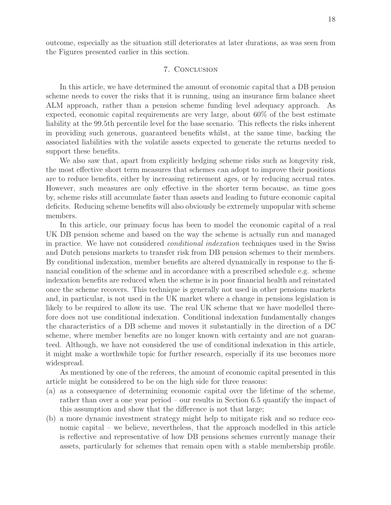outcome, especially as the situation still deteriorates at later durations, as was seen from the Figures presented earlier in this section.

#### 7. Conclusion

In this article, we have determined the amount of economic capital that a DB pension scheme needs to cover the risks that it is running, using an insurance firm balance sheet ALM approach, rather than a pension scheme funding level adequacy approach. As expected, economic capital requirements are very large, about 60% of the best estimate liability at the 99.5th percentile level for the base scenario. This reflects the risks inherent in providing such generous, guaranteed benefits whilst, at the same time, backing the associated liabilities with the volatile assets expected to generate the returns needed to support these benefits.

We also saw that, apart from explicitly hedging scheme risks such as longevity risk, the most effective short term measures that schemes can adopt to improve their positions are to reduce benefits, either by increasing retirement ages, or by reducing accrual rates. However, such measures are only effective in the shorter term because, as time goes by, scheme risks still accumulate faster than assets and leading to future economic capital deficits. Reducing scheme benefits will also obviously be extremely unpopular with scheme members.

In this article, our primary focus has been to model the economic capital of a real UK DB pension scheme and based on the way the scheme is actually run and managed in practice. We have not considered conditional indexation techniques used in the Swiss and Dutch pensions markets to transfer risk from DB pension schemes to their members. By conditional indexation, member benefits are altered dynamically in response to the financial condition of the scheme and in accordance with a prescribed schedule e.g. scheme indexation benefits are reduced when the scheme is in poor financial health and reinstated once the scheme recovers. This technique is generally not used in other pensions markets and, in particular, is not used in the UK market where a change in pensions legislation is likely to be required to allow its use. The real UK scheme that we have modelled therefore does not use conditional indexation. Conditional indexation fundamentally changes the characteristics of a DB scheme and moves it substantially in the direction of a DC scheme, where member benefits are no longer known with certainty and are not guaranteed. Although, we have not considered the use of conditional indexation in this article, it might make a worthwhile topic for further research, especially if its use becomes more widespread.

As mentioned by one of the referees, the amount of economic capital presented in this article might be considered to be on the high side for three reasons:

- (a) as a consequence of determining economic capital over the lifetime of the scheme, rather than over a one year period – our results in Section 6.5 quantify the impact of this assumption and show that the difference is not that large;
- (b) a more dynamic investment strategy might help to mitigate risk and so reduce economic capital – we believe, nevertheless, that the approach modelled in this article is reflective and representative of how DB pensions schemes currently manage their assets, particularly for schemes that remain open with a stable membership profile.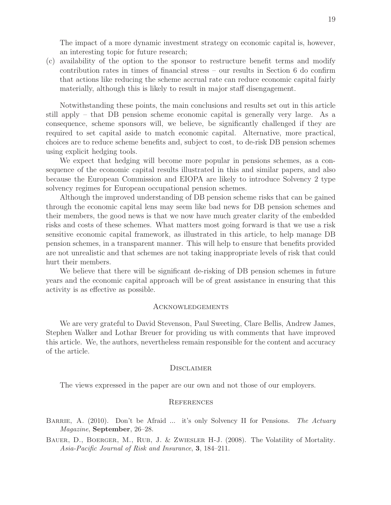The impact of a more dynamic investment strategy on economic capital is, however, an interesting topic for future research;

(c) availability of the option to the sponsor to restructure benefit terms and modify contribution rates in times of financial stress – our results in Section 6 do confirm that actions like reducing the scheme accrual rate can reduce economic capital fairly materially, although this is likely to result in major staff disengagement.

Notwithstanding these points, the main conclusions and results set out in this article still apply – that DB pension scheme economic capital is generally very large. As a consequence, scheme sponsors will, we believe, be significantly challenged if they are required to set capital aside to match economic capital. Alternative, more practical, choices are to reduce scheme benefits and, subject to cost, to de-risk DB pension schemes using explicit hedging tools.

We expect that hedging will become more popular in pensions schemes, as a consequence of the economic capital results illustrated in this and similar papers, and also because the European Commission and EIOPA are likely to introduce Solvency 2 type solvency regimes for European occupational pension schemes.

Although the improved understanding of DB pension scheme risks that can be gained through the economic capital lens may seem like bad news for DB pension schemes and their members, the good news is that we now have much greater clarity of the embedded risks and costs of these schemes. What matters most going forward is that we use a risk sensitive economic capital framework, as illustrated in this article, to help manage DB pension schemes, in a transparent manner. This will help to ensure that benefits provided are not unrealistic and that schemes are not taking inappropriate levels of risk that could hurt their members.

We believe that there will be significant de-risking of DB pension schemes in future years and the economic capital approach will be of great assistance in ensuring that this activity is as effective as possible.

#### Acknowledgements

We are very grateful to David Stevenson, Paul Sweeting, Clare Bellis, Andrew James, Stephen Walker and Lothar Breuer for providing us with comments that have improved this article. We, the authors, nevertheless remain responsible for the content and accuracy of the article.

#### **DISCLAIMER**

The views expressed in the paper are our own and not those of our employers.

#### **REFERENCES**

BARRIE, A. (2010). Don't be Afraid ... it's only Solvency II for Pensions. *The Actuary Magazine*, September, 26–28.

BAUER, D., BOERGER, M., RUB, J. & ZWIESLER H-J. (2008). The Volatility of Mortality. *Asia-Pacific Journal of Risk and Insurance*, 3, 184–211.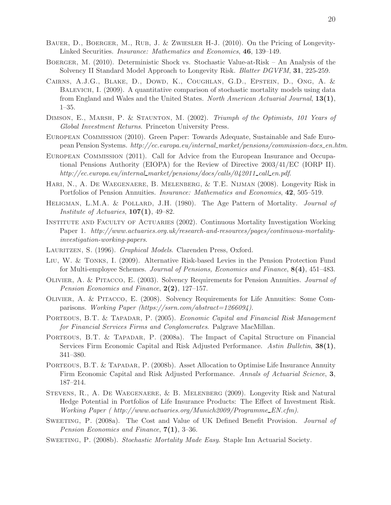- Bauer, D., Boerger, M., Rub, J. & Zwiesler H-J. (2010). On the Pricing of Longevity-Linked Securities. *Insurance: Mathematics and Economics*, 46, 139–149.
- Boerger, M. (2010). Deterministic Shock vs. Stochastic Value-at-Risk An Analysis of the Solvency II Standard Model Approach to Longevity Risk. *Blatter DGVFM*, 31, 225-259.
- Cairns, A.J.G., Blake, D., Dowd, K., Coughlan, G.D., Epstein, D., Ong, A. & Balevich, I. (2009). A quantitative comparison of stochastic mortality models using data from England and Wales and the United States. *North American Actuarial Journal*, 13(1), 1–35.
- Dimson, E., Marsh, P. & Staunton, M. (2002). *Triumph of the Optimists, 101 Years of Global Investment Returns*. Princeton University Press.
- European Commission (2010). Green Paper: Towards Adequate, Sustainable and Safe European Pension Systems. *http://ec.europa.eu/internal market/pensions/commission-docs en.htm*.
- European Commission (2011). Call for Advice from the European Insurance and Occupational Pensions Authority (EIOPA) for the Review of Directive 2003/41/EC (IORP II). *http://ec.europa.eu/internal market/pensions/docs/calls/042011 call en.pdf*.
- Hari, N., A. De Waegenaere, B. Melenberg, & T.E. Nijman (2008). Longevity Risk in Portfolios of Pension Annuities. *Insurance: Mathematics and Economics*, 42, 505–519.
- HELIGMAN, L.M.A. & POLLARD, J.H. (1980). The Age Pattern of Mortality. *Journal of Institute of Actuaries*, 107(1), 49–82.
- Institute and Faculty of Actuaries (2002). Continuous Mortality Investigation Working Paper 1. *http://www.actuaries.org.uk/research-and-resources/pages/continuous-mortalityinvestigation-working-papers*.
- Lauritzen, S. (1996). *Graphical Models*. Clarenden Press, Oxford.
- Liu, W. & Tonks, I. (2009). Alternative Risk-based Levies in the Pension Protection Fund for Multi-employee Schemes. *Journal of Pensions, Economics and Finance*, 8(4), 451–483.
- Olivier, A. & Pitacco, E. (2003). Solvency Requirements for Pension Annuities. *Journal of Pension Economics and Finance*, 2(2), 127–157.
- Olivier, A. & Pitacco, E. (2008). Solvency Requirements for Life Annuities: Some Comparisons. *Working Paper (https://ssrn.com/abstract=1266094)*.
- Porteous, B.T. & Tapadar, P. (2005). *Economic Capital and Financial Risk Management for Financial Services Firms and Conglomerates*. Palgrave MacMillan.
- Porteous, B.T. & Tapadar, P. (2008a). The Impact of Capital Structure on Financial Services Firm Economic Capital and Risk Adjusted Performance. *Astin Bulletin*, 38(1), 341–380.
- PORTEOUS, B.T. & TAPADAR, P. (2008b). Asset Allocation to Optimise Life Insurance Annuity Firm Economic Capital and Risk Adjusted Performance. *Annals of Actuarial Science*, 3, 187–214.
- Stevens, R., A. De Waegenaere, & B. Melenberg (2009). Longevity Risk and Natural Hedge Potential in Portfolios of Life Insurance Products: The Effect of Investment Risk. *Working Paper ( http://www.actuaries.org/Munich2009/Programme EN.cfm)*.
- SWEETING, P. (2008a). The Cost and Value of UK Defined Benefit Provision. *Journal of Pension Economics and Finance*, 7(1), 3–36.
- Sweeting, P. (2008b). *Stochastic Mortality Made Easy*. Staple Inn Actuarial Society.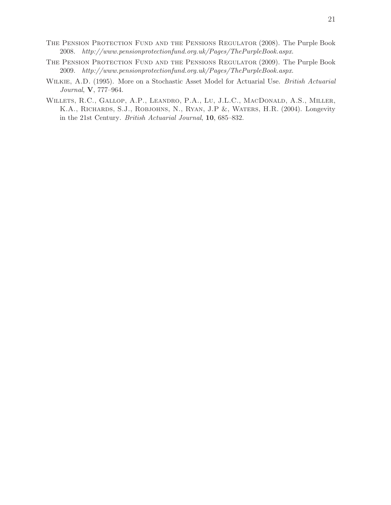- The Pension Protection Fund and the Pensions Regulator (2008). The Purple Book 2008. *http://www.pensionprotectionfund.org.uk/Pages/ThePurpleBook.aspx*.
- The Pension Protection Fund and the Pensions Regulator (2009). The Purple Book 2009. *http://www.pensionprotectionfund.org.uk/Pages/ThePurpleBook.aspx*.
- Wilkie, A.D. (1995). More on a Stochastic Asset Model for Actuarial Use. *British Actuarial Journal*, V, 777–964.
- Willets, R.C., Gallop, A.P., Leandro, P.A., Lu, J.L.C., MacDonald, A.S., Miller, K.A., Richards, S.J., Robjohns, N., Ryan, J.P &, Waters, H.R. (2004). Longevity in the 21st Century. *British Actuarial Journal*, 10, 685–832.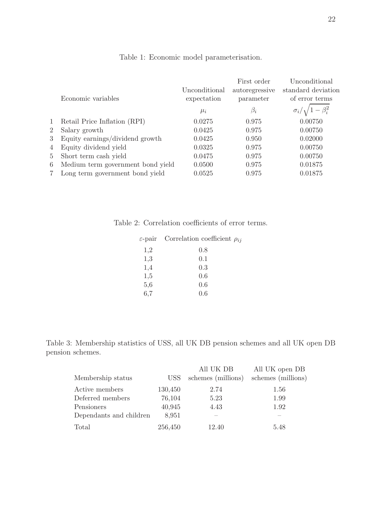|                |                                   |               | First order    | Unconditional                 |
|----------------|-----------------------------------|---------------|----------------|-------------------------------|
|                |                                   | Unconditional | autoregressive | standard deviation            |
|                | Economic variables                | expectation   | parameter      | of error terms                |
|                |                                   | $\mu_i$       | $\beta_i$      | $\sigma_i/\sqrt{1-\beta_i^2}$ |
| 1              | Retail Price Inflation (RPI)      | 0.0275        | 0.975          | 0.00750                       |
| $\overline{2}$ | Salary growth                     | 0.0425        | 0.975          | 0.00750                       |
| 3              | Equity earnings/dividend growth   | 0.0425        | 0.950          | 0.02000                       |
| 4              | Equity dividend yield             | 0.0325        | 0.975          | 0.00750                       |
| 5.             | Short term cash yield             | 0.0475        | 0.975          | 0.00750                       |
| 6              | Medium term government bond yield | 0.0500        | 0.975          | 0.01875                       |
| 7.             | Long term government bond yield   | 0.0525        | 0.975          | 0.01875                       |

#### Table 1: Economic model parameterisation.

Table 2: Correlation coefficients of error terms.

| $\varepsilon$ -pair | Correlation coefficient $\rho_{ij}$ |
|---------------------|-------------------------------------|
| 1,2                 | 0.8                                 |
| 1,3                 | 0.1                                 |
| 1,4                 | 0.3                                 |
| 1,5                 | 0.6                                 |
| 5,6                 | 0.6                                 |
| 6,7                 | 0.6                                 |
|                     |                                     |

Table 3: Membership statistics of USS, all UK DB pension schemes and all UK open DB pension schemes.

|                         |                  | All UK DB          | All UK open DB     |
|-------------------------|------------------|--------------------|--------------------|
| Membership status       | USS <sup>1</sup> | schemes (millions) | schemes (millions) |
| Active members          | 130,450          | 2.74               | 1.56               |
| Deferred members        | 76,104           | 5.23               | 1.99               |
| Pensioners              | 40,945           | 4.43               | 1.92               |
| Dependants and children | 8,951            |                    |                    |
| Total                   | 256,450          | 12.40              | 5.48               |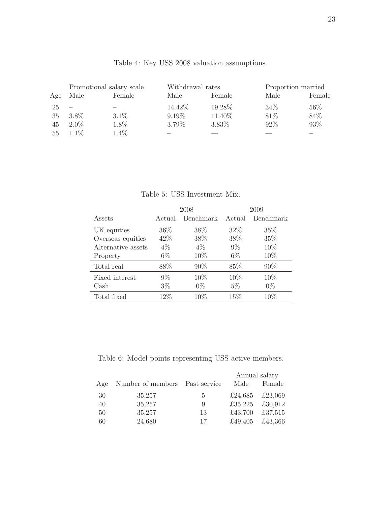|     |         | Promotional salary scale | Withdrawal rates |        |      | Proportion married |
|-----|---------|--------------------------|------------------|--------|------|--------------------|
| Age | Male    | Female                   | Male             | Female | Male | Female             |
| 25  |         |                          | 14.42\%          | 19.28% | 34\% | 56\%               |
| 35  | 3.8%    | $3.1\%$                  | $9.19\%$         | 11.40% | 81\% | 84\%               |
| 45  | $2.0\%$ | 1.8%                     | 3.79%            | 3.83%  | 92\% | 93%                |
| 55  | $1.1\%$ | $1.4\%$                  |                  |        |      |                    |

#### Table 4: Key USS 2008 valuation assumptions.

Table 5: USS Investment Mix.

|                    | 2008   |           | 2009   |           |
|--------------------|--------|-----------|--------|-----------|
| Assets             | Actual | Benchmark | Actual | Benchmark |
| UK equities        | $36\%$ | 38\%      | $32\%$ | 35%       |
| Overseas equities  | 42\%   | 38%       | 38%    | 35%       |
| Alternative assets | $4\%$  | $4\%$     | $9\%$  | 10\%      |
| Property           | $6\%$  | 10\%      | $6\%$  | 10%       |
| Total real         | 88%    | 90\%      | 85\%   | 90\%      |
| Fixed interest     | $9\%$  | 10%       | 10%    | 10%       |
| Cash               | $3\%$  | $0\%$     | $5\%$  | $0\%$     |
| Total fixed        | 12%    | 10\%      | 15\%   | 10\%      |

Table 6: Model points representing USS active members.

|     |                                |    | Annual salary   |        |  |
|-----|--------------------------------|----|-----------------|--------|--|
| Age | Number of members Past service |    | Male            | Female |  |
| 30  | 35,257                         | 5  | £24,685 £23,069 |        |  |
| 40  | 35,257                         | 9  | £35,225 £30,912 |        |  |
| 50  | 35,257                         | 13 | £43,700 £37,515 |        |  |
| 60  | 24,680                         | 17 | £49,405 £43,366 |        |  |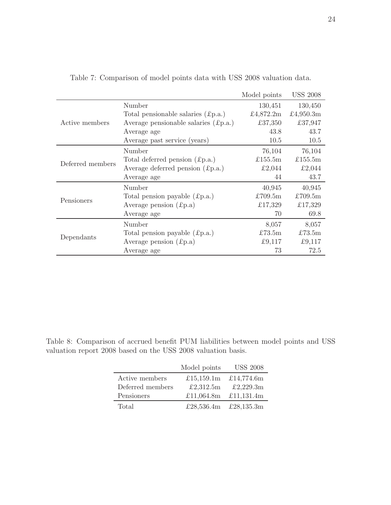|                                                                                                                                                                                                                                                                                                                                              |                                                             | Model points | <b>USS 2008</b> |
|----------------------------------------------------------------------------------------------------------------------------------------------------------------------------------------------------------------------------------------------------------------------------------------------------------------------------------------------|-------------------------------------------------------------|--------------|-----------------|
|                                                                                                                                                                                                                                                                                                                                              | Number                                                      | 130,451      | 130,450         |
|                                                                                                                                                                                                                                                                                                                                              | Total pensionable salaries $(\text{fp.a.})$                 | £4,872.2m    | £4,950.3m       |
| Active members                                                                                                                                                                                                                                                                                                                               | Average pensionable salaries $(\text{\textsterling p.a.}})$ | £37,350      | £37,947         |
|                                                                                                                                                                                                                                                                                                                                              | Average age                                                 | 43.8         | 43.7            |
| 10.5<br>Average past service (years)<br>Number<br>Total deferred pension $(\text{fp.a.})$<br>Deferred members<br>Average deferred pension $(\text{£p.a.})$<br>44<br>Average age<br>Number<br>40,945<br>Total pension payable $(\text{\textsterling p.a.}})$<br>Pensioners<br>Average pension $(\text{fp.a})$<br>£17,329<br>Average age<br>70 |                                                             | 10.5         |                 |
|                                                                                                                                                                                                                                                                                                                                              |                                                             | 76,104       | 76,104          |
|                                                                                                                                                                                                                                                                                                                                              |                                                             | £155.5 $m$   | £155.5 $m$      |
|                                                                                                                                                                                                                                                                                                                                              |                                                             | £2,044       | £2,044          |
|                                                                                                                                                                                                                                                                                                                                              |                                                             |              | 43.7            |
|                                                                                                                                                                                                                                                                                                                                              |                                                             |              | 40,945          |
|                                                                                                                                                                                                                                                                                                                                              |                                                             | £709.5 $m$   | £709.5m         |
|                                                                                                                                                                                                                                                                                                                                              |                                                             |              | £17,329         |
|                                                                                                                                                                                                                                                                                                                                              |                                                             |              | 69.8            |
|                                                                                                                                                                                                                                                                                                                                              | Number                                                      | 8,057        | 8,057           |
|                                                                                                                                                                                                                                                                                                                                              | Total pension payable $(\text{\textsterling p.a.}})$        | £73.5 $m$    | £73.5m          |
| Dependants                                                                                                                                                                                                                                                                                                                                   | Average pension $(\text{£p.a})$                             | £9,117       | £9,117          |
|                                                                                                                                                                                                                                                                                                                                              | Average age                                                 | 73           | 72.5            |

Table 7: Comparison of model points data with USS 2008 valuation data.

Table 8: Comparison of accrued benefit PUM liabilities between model points and USS valuation report 2008 based on the USS 2008 valuation basis.

|                  | Model points | <b>USS 2008</b>       |
|------------------|--------------|-----------------------|
| Active members   | £15,159.1m   | £14,774.6m            |
| Deferred members | £2,312.5m    | £2,229.3m             |
| Pensioners       | £11,064.8m   | £11,131.4m            |
| Total            |              | £28,536.4m £28,135.3m |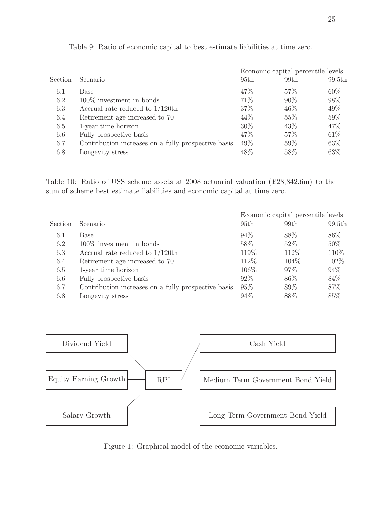|         |                                                     | Economic capital percentile levels |      |        |
|---------|-----------------------------------------------------|------------------------------------|------|--------|
| Section | Scenario                                            | 95th                               | 99th | 99.5th |
| 6.1     | Base                                                | 47%                                | 57\% | 60\%   |
| 6.2     | $100\%$ investment in bonds                         | 71\%                               | 90\% | 98%    |
| 6.3     | Accrual rate reduced to $1/120$ th                  | 37%                                | 46\% | 49%    |
| 6.4     | Retirement age increased to 70                      | 44\%                               | 55%  | 59%    |
| 6.5     | 1-year time horizon                                 | $30\%$                             | 43\% | 47\%   |
| 6.6     | Fully prospective basis                             | 47\%                               | 57\% | 61\%   |
| 6.7     | Contribution increases on a fully prospective basis | 49%                                | 59\% | 63\%   |
| 6.8     | Longevity stress                                    | 48%                                | 58\% | 63\%   |

Table 9: Ratio of economic capital to best estimate liabilities at time zero.

Table 10: Ratio of USS scheme assets at 2008 actuarial valuation (£28,842.6m) to the sum of scheme best estimate liabilities and economic capital at time zero.

|         |                                                     |       | Economic capital percentile levels |        |
|---------|-----------------------------------------------------|-------|------------------------------------|--------|
| Section | Scenario                                            | 95th  | 99th                               | 99.5th |
| 6.1     | Base                                                | 94\%  | 88\%                               | 86\%   |
| 6.2     | $100\%$ investment in bonds                         | 58%   | $52\%$                             | 50%    |
| 6.3     | Accrual rate reduced to $1/120$ th                  | 119%  | 112\%                              | 110\%  |
| 6.4     | Retirement age increased to 70                      | 112\% | 104\%                              | 102\%  |
| 6.5     | 1-year time horizon                                 | 106\% | $97\%$                             | 94%    |
| 6.6     | Fully prospective basis                             | 92%   | 86\%                               | 84\%   |
| 6.7     | Contribution increases on a fully prospective basis | 95%   | 89%                                | 87%    |
| 6.8     | Longevity stress                                    | 94\%  | 88\%                               | 85%    |
|         |                                                     |       |                                    |        |



Figure 1: Graphical model of the economic variables.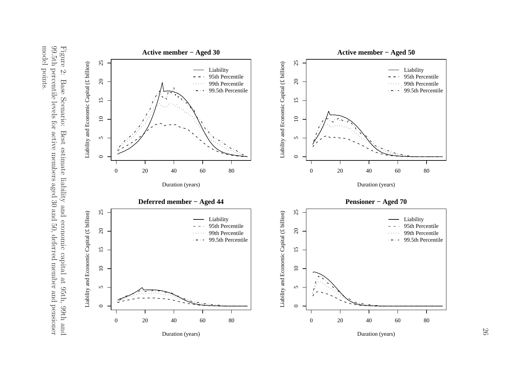model points. 99.5th percentile levels for active members aged 30 and 50, deferred member and pensioner Figure 2: Base Scenario: Best estimate liability and economic capital at 95th, 99th and model points.99.5th percentile levels for active members aged 30 and 50, deferred member and pensioner Figure 2: Base Scenario: Best estimate liability and economic capital at 95th, 99th and

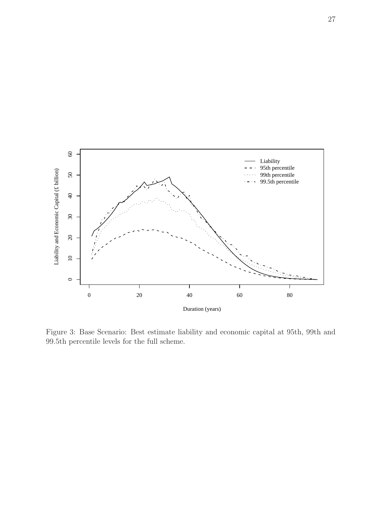

Figure 3: Base Scenario: Best estimate liability and economic capital at 95th, 99th and 99.5th percentile levels for the full scheme.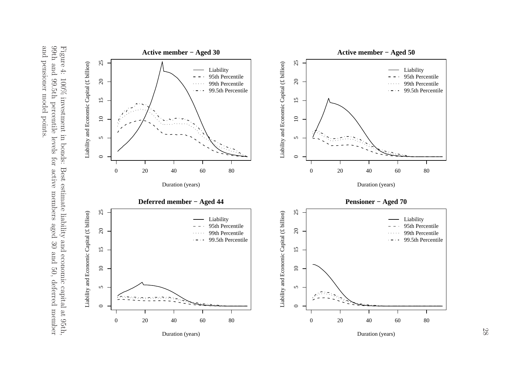99th and 99.5th percentile levels for active members aged 30 and 50, deferred member and pensioner model points Figure 4:  $100\%$  investment in bonds: Best estimate liability and economic capital at 95th, and pensioner model points.99th and 99.5th percentile levels for active members aged 30 and 50, Figure 4: 100% investment in bonds: Best estimate liability and economic capital at 95th, deferred member

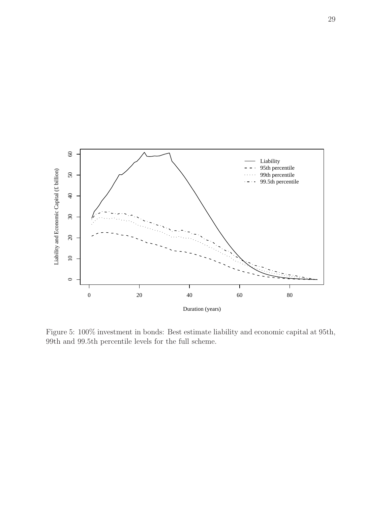

Figure 5: 100% investment in bonds: Best estimate liability and economic capital at 95th, 99th and 99.5th percentile levels for the full scheme.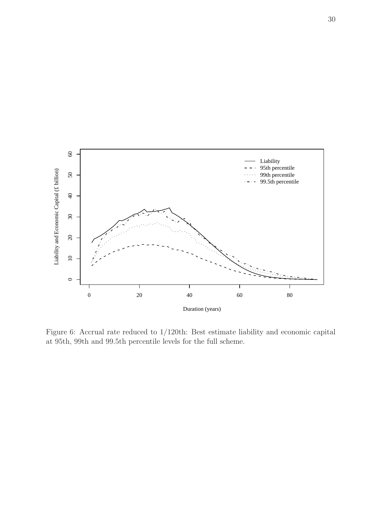

Figure 6: Accrual rate reduced to 1/120th: Best estimate liability and economic capital at 95th, 99th and 99.5th percentile levels for the full scheme.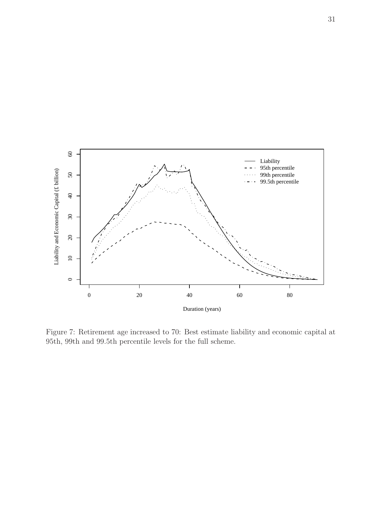

Figure 7: Retirement age increased to 70: Best estimate liability and economic capital at 95th, 99th and 99.5th percentile levels for the full scheme.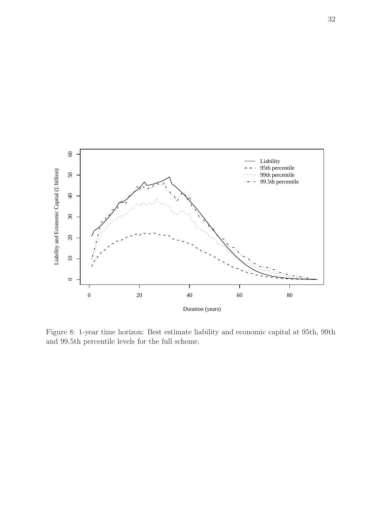

Figure 8: 1-year time horizon: Best estimate liability and economic capital at 95th, 99th and 99.5th percentile levels for the full scheme.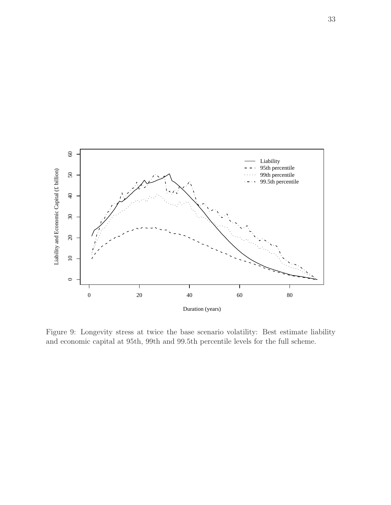

Figure 9: Longevity stress at twice the base scenario volatility: Best estimate liability and economic capital at 95th, 99th and 99.5th percentile levels for the full scheme.